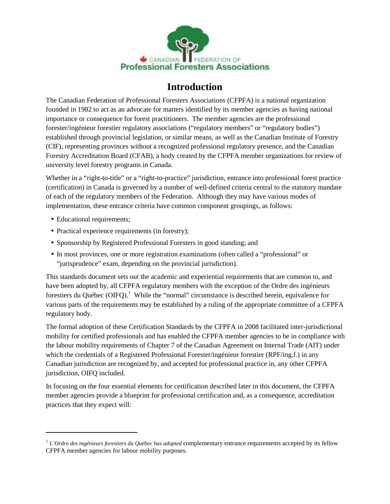

# **Introduction**

The Canadian Federation of Professional Foresters Associations (CFPFA) is a national organization founded in 1982 to act as an advocate for matters identified by its member agencies as having national importance or consequence for forest practitioners. The member agencies are the professional forester/ingénieur forestier regulatory associations ("regulatory members" or "regulatory bodies") established through provincial legislation, or similar means, as well as the Canadian Institute of Forestry (CIF), representing provinces without a recognized professional regulatory presence, and the Canadian Forestry Accreditation Board (CFAB), a body created by the CFPFA member organizations for review of university level forestry programs in Canada.

Whether in a "right-to-title" or a "right-to-practice" jurisdiction, entrance into professional forest practice (certification) in Canada is governed by a number of well-defined criteria central to the statutory mandate of each of the regulatory members of the Federation. Although they may have various modes of implementation, these entrance criteria have common component groupings, as follows:

- Educational requirements;
- Practical experience requirements (in forestry);
- Sponsorship by Registered Professional Foresters in good standing; and
- In most provinces, one or more registration examinations (often called a "professional" or "jurisprudence" exam, depending on the provincial jurisdiction).

This standards document sets out the academic and experiential requirements that are common to, and have been adopted by, all CFPFA regulatory members with the exception of the Ordre des ingénieurs forestiers du Québec  $(OIFQ)$ <sup>1</sup>. While the "normal" circumstance is described herein, equivalence for various parts of the requirements may be established by a ruling of the appropriate committee of a CFPFA regulatory body.

The formal adoption of these Certification Standards by the CFPFA in 2008 facilitated inter-jurisdictional mobility for certified professionals and has enabled the CFPFA member agencies to be in compliance with the labour mobility requirements of Chapter 7 of the Canadian Agreement on Internal Trade (AIT) under which the credentials of a Registered Professional Forester/ingénieur forestier (RPF/ing.f.) in any Canadian jurisdiction are recognized by, and accepted for professional practice in, any other CFPFA jurisdiction, OIFQ included.

In focusing on the four essential elements for certification described later in this document, the CFPFA member agencies provide a blueprint for professional certification and, as a consequence, accreditation practices that they expect will:

<sup>1</sup> *L'Ordre des ingénieurs forestiers du Québec has adopted* complementary entrance requirements accepted by its fellow CFPFA member agencies for labour mobility purposes.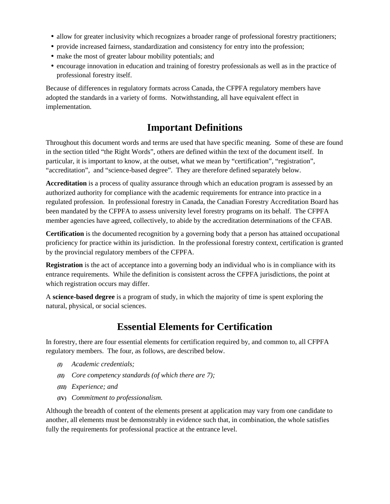- allow for greater inclusivity which recognizes a broader range of professional forestry practitioners;
- provide increased fairness, standardization and consistency for entry into the profession;
- make the most of greater labour mobility potentials; and
- encourage innovation in education and training of forestry professionals as well as in the practice of professional forestry itself.

Because of differences in regulatory formats across Canada, the CFPFA regulatory members have adopted the standards in a variety of forms. Notwithstanding, all have equivalent effect in implementation.

# **Important Definitions**

Throughout this document words and terms are used that have specific meaning. Some of these are found in the section titled "the Right Words", others are defined within the text of the document itself. In particular, it is important to know, at the outset, what we mean by "certification", "registration", "accreditation", and "science-based degree". They are therefore defined separately below.

**Accreditation** is a process of quality assurance through which an education program is assessed by an authorized authority for compliance with the academic requirements for entrance into practice in a regulated profession. In professional forestry in Canada, the Canadian Forestry Accreditation Board has been mandated by the CFPFA to assess university level forestry programs on its behalf. The CFPFA member agencies have agreed, collectively, to abide by the accreditation determinations of the CFAB.

**Certification** is the documented recognition by a governing body that a person has attained occupational proficiency for practice within its jurisdiction. In the professional forestry context, certification is granted by the provincial regulatory members of the CFPFA.

**Registration** is the act of acceptance into a governing body an individual who is in compliance with its entrance requirements. While the definition is consistent across the CFPFA jurisdictions, the point at which registration occurs may differ.

A **science-based degree** is a program of study, in which the majority of time is spent exploring the natural, physical, or social sciences.

# **Essential Elements for Certification**

In forestry, there are four essential elements for certification required by, and common to, all CFPFA regulatory members. The four, as follows, are described below.

- *(I) Academic credentials;*
- *(II) Core competency standards (of which there are 7);*
- *(III) Experience; and*
- **(IV)** *Commitment to professionalism.*

Although the breadth of content of the elements present at application may vary from one candidate to another, all elements must be demonstrably in evidence such that, in combination, the whole satisfies fully the requirements for professional practice at the entrance level.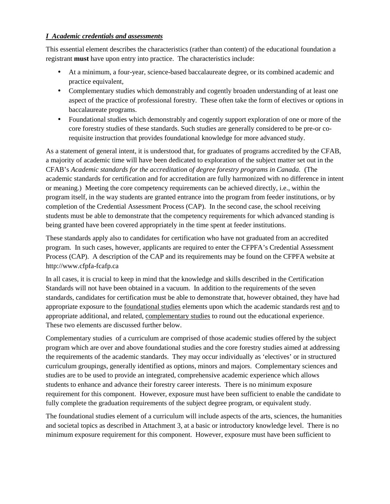### *I Academic credentials and assessments*

This essential element describes the characteristics (rather than content) of the educational foundation a registrant **must** have upon entry into practice. The characteristics include:

- At a minimum, a four-year, science-based baccalaureate degree, or its combined academic and practice equivalent,
- Complementary studies which demonstrably and cogently broaden understanding of at least one aspect of the practice of professional forestry. These often take the form of electives or options in baccalaureate programs.
- Foundational studies which demonstrably and cogently support exploration of one or more of the core forestry studies of these standards. Such studies are generally considered to be pre-or corequisite instruction that provides foundational knowledge for more advanced study.

As a statement of general intent, it is understood that, for graduates of programs accredited by the CFAB, a majority of academic time will have been dedicated to exploration of the subject matter set out in the CFAB's *Academic standards for the accreditation of degree forestry programs in Canada.* (The academic standards for certification and for accreditation are fully harmonized with no difference in intent or meaning.) Meeting the core competency requirements can be achieved directly, i.e., within the program itself, in the way students are granted entrance into the program from feeder institutions, or by completion of the Credential Assessment Process (CAP). In the second case, the school receiving students must be able to demonstrate that the competency requirements for which advanced standing is being granted have been covered appropriately in the time spent at feeder institutions.

These standards apply also to candidates for certification who have not graduated from an accredited program. In such cases, however, applicants are required to enter the CFPFA's Credential Assessment Process (CAP). A description of the CAP and its requirements may be found on the CFPFA website at <http://www.cfpfa-fcafp.ca>

In all cases, it is crucial to keep in mind that the knowledge and skills described in the Certification Standards will not have been obtained in a vacuum. In addition to the requirements of the seven standards, candidates for certification must be able to demonstrate that, however obtained, they have had appropriate exposure to the foundational studies elements upon which the academic standards rest and to appropriate additional, and related, complementary studies to round out the educational experience. These two elements are discussed further below.

Complementary studies of a curriculum are comprised of those academic studies offered by the subject program which are over and above foundational studies and the core forestry studies aimed at addressing the requirements of the academic standards. They may occur individually as 'electives' or in structured curriculum groupings, generally identified as options, minors and majors. Complementary sciences and studies are to be used to provide an integrated, comprehensive academic experience which allows students to enhance and advance their forestry career interests. There is no minimum exposure requirement for this component. However, exposure must have been sufficient to enable the candidate to fully complete the graduation requirements of the subject degree program, or equivalent study.

The foundational studies element of a curriculum will include aspects of the arts, sciences, the humanities and societal topics as described in Attachment 3, at a basic or introductory knowledge level. There is no minimum exposure requirement for this component. However, exposure must have been sufficient to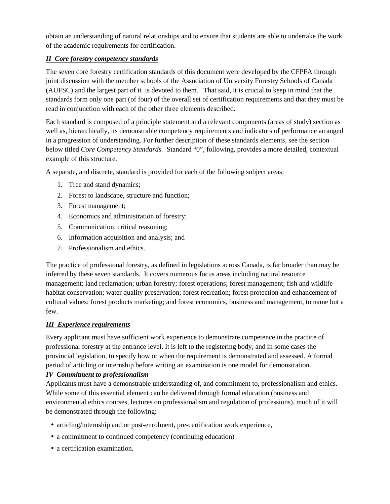obtain an understanding of natural relationships and to ensure that students are able to undertake the work of the academic requirements for certification.

# *II Core forestry competency standards*

The seven core forestry certification standards of this document were developed by the CFPFA through joint discussion with the member schools of the Association of University Forestry Schools of Canada (AUFSC) and the largest part of it is devoted to them. That said, it is crucial to keep in mind that the standards form only one part (of four) of the overall set of certification requirements and that they must be read in conjunction with each of the other three elements described.

Each standard is composed of a principle statement and a relevant components (areas of study) section as well as, hierarchically, its demonstrable competency requirements and indicators of performance arranged in a progression of understanding. For further description of these standards elements, see the section below titled *Core Competency Standards.* Standard "0", following, provides a more detailed, contextual example of this structure.

A separate, and discrete, standard is provided for each of the following subject areas:

- 1. Tree and stand dynamics;
- 2. Forest to landscape, structure and function;
- 3. Forest management;
- 4. Economics and administration of forestry;
- 5. Communication, critical reasoning;
- 6. Information acquisition and analysis; and
- 7. Professionalism and ethics.

The practice of professional forestry, as defined in legislations across Canada, is far broader than may be inferred by these seven standards. It covers numerous focus areas including natural resource management; land reclamation; urban forestry; forest operations; forest management; fish and wildlife habitat conservation; water quality preservation; forest recreation; forest protection and enhancement of cultural values; forest products marketing; and forest economics, business and management, to name but a few.

# *III Experience requirements*

Every applicant must have sufficient work experience to demonstrate competence in the practice of professional forestry at the entrance level. It is left to the registering body, and in some cases the provincial legislation, to specify how or when the requirement is demonstrated and assessed. A formal period of articling or internship before writing an examination is one model for demonstration.

# *IV Commitment to professionalism*

Applicants must have a demonstrable understanding of, and commitment to, professionalism and ethics. While some of this essential element can be delivered through formal education (business and environmental ethics courses, lectures on professionalism and regulation of professions), much of it will be demonstrated through the following:

- articling/internship and or post-enrolment, pre-certification work experience,
- a commitment to continued competency (continuing education)
- a certification examination.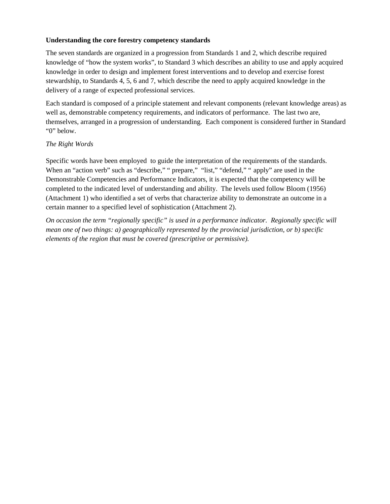### **Understanding the core forestry competency standards**

The seven standards are organized in a progression from Standards 1 and 2, which describe required knowledge of "how the system works", to Standard 3 which describes an ability to use and apply acquired knowledge in order to design and implement forest interventions and to develop and exercise forest stewardship, to Standards 4, 5, 6 and 7, which describe the need to apply acquired knowledge in the delivery of a range of expected professional services.

Each standard is composed of a principle statement and relevant components (relevant knowledge areas) as well as, demonstrable competency requirements, and indicators of performance. The last two are, themselves, arranged in a progression of understanding. Each component is considered further in Standard "0" below.

#### *The Right Words*

Specific words have been employed to guide the interpretation of the requirements of the standards. When an "action verb" such as "describe," " prepare," "list," "defend," " apply" are used in the Demonstrable Competencies and Performance Indicators, it is expected that the competency will be completed to the indicated level of understanding and ability. The levels used follow Bloom (1956) (Attachment 1) who identified a set of verbs that characterize ability to demonstrate an outcome in a certain manner to a specified level of sophistication (Attachment 2).

*On occasion the term "regionally specific" is used in a performance indicator. Regionally specific will mean one of two things: a) geographically represented by the provincial jurisdiction, or b) specific elements of the region that must be covered (prescriptive or permissive).*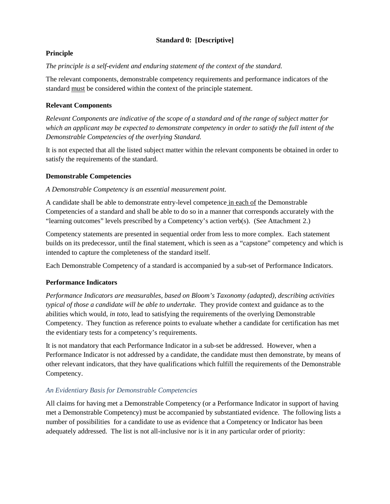# **Standard 0: [Descriptive]**

# **Principle**

### *The principle is a self-evident and enduring statement of the context of the standard.*

The relevant components, demonstrable competency requirements and performance indicators of the standard must be considered within the context of the principle statement.

# **Relevant Components**

*Relevant Components are indicative of the scope of a standard and of the range of subject matter for which an applicant may be expected to demonstrate competency in order to satisfy the full intent of the Demonstrable Competencies of the overlying Standard.*

It is not expected that all the listed subject matter within the relevant components be obtained in order to satisfy the requirements of the standard.

# **Demonstrable Competencies**

#### *A Demonstrable Competency is an essential measurement point.*

A candidate shall be able to demonstrate entry-level competence in each of the Demonstrable Competencies of a standard and shall be able to do so in a manner that corresponds accurately with the "learning outcomes" levels prescribed by a Competency's action verb(s). (See Attachment 2.)

Competency statements are presented in sequential order from less to more complex. Each statement builds on its predecessor, until the final statement, which is seen as a "capstone" competency and which is intended to capture the completeness of the standard itself.

Each Demonstrable Competency of a standard is accompanied by a sub-set of Performance Indicators.

# **Performance Indicators**

*Performance Indicators are measurables, based on Bloom's Taxonomy (adapted), describing activities typical of those a candidate will be able to undertake.* They provide context and guidance as to the abilities which would*, in toto*, lead to satisfying the requirements of the overlying Demonstrable Competency. They function as reference points to evaluate whether a candidate for certification has met the evidentiary tests for a competency's requirements.

It is not mandatory that each Performance Indicator in a sub-set be addressed. However, when a Performance Indicator is not addressed by a candidate, the candidate must then demonstrate, by means of other relevant indicators, that they have qualifications which fulfill the requirements of the Demonstrable Competency.

# *An Evidentiary Basis for Demonstrable Competencies*

All claims for having met a Demonstrable Competency (or a Performance Indicator in support of having met a Demonstrable Competency) must be accompanied by substantiated evidence. The following lists a number of possibilities for a candidate to use as evidence that a Competency or Indicator has been adequately addressed. The list is not all-inclusive nor is it in any particular order of priority: